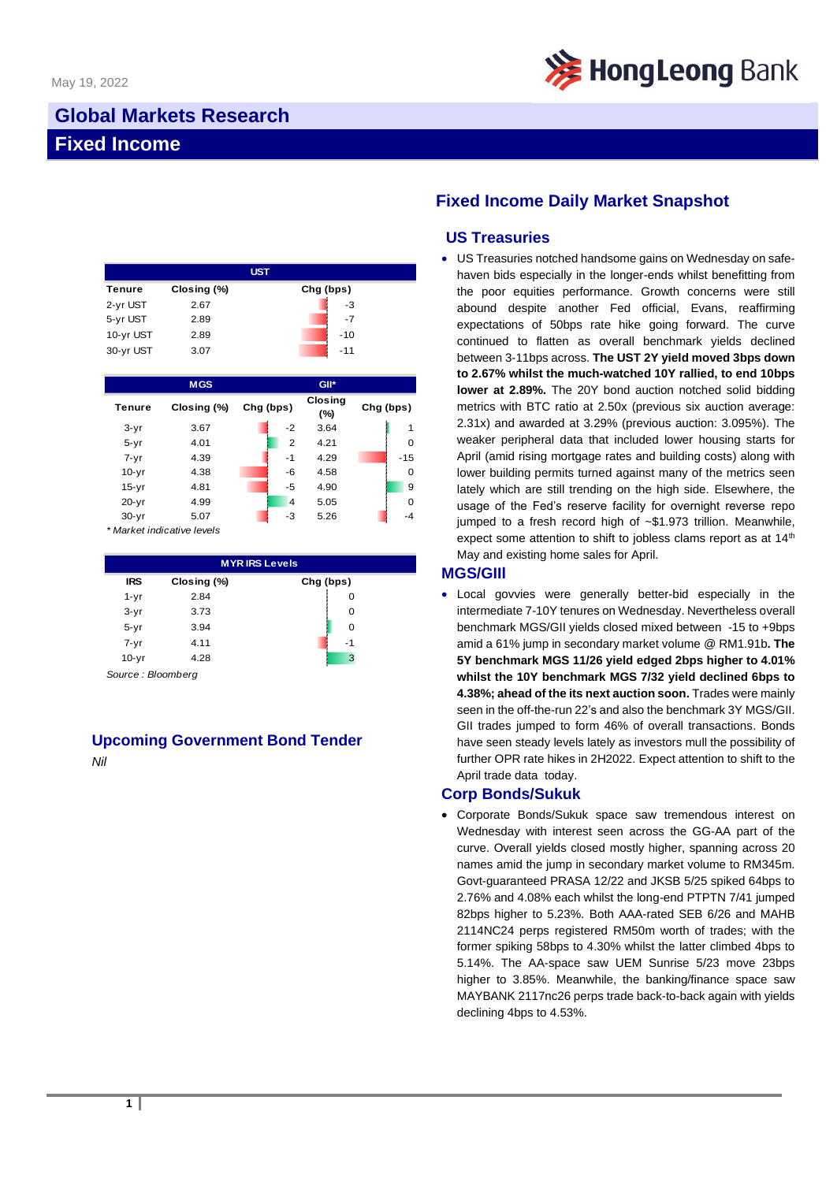

# **Global Markets Research Fixed Income**

| <b>UST</b> |             |           |  |  |  |  |
|------------|-------------|-----------|--|--|--|--|
| Tenure     | Closing (%) | Chg (bps) |  |  |  |  |
| 2-yr UST   | 2.67        | -3        |  |  |  |  |
| 5-yr UST   | 2.89        | $-7$      |  |  |  |  |
| 10-yr UST  | 2.89        | $-10$     |  |  |  |  |
| 30-yr UST  | 3.07        | $-11$     |  |  |  |  |

|           | <b>MGS</b>  |           |                | GII*                  |  |           |  |
|-----------|-------------|-----------|----------------|-----------------------|--|-----------|--|
| Tenure    | Closing (%) | Chg (bps) |                | <b>Closing</b><br>(%) |  | Chg (bps) |  |
| $3-yr$    | 3.67        |           | $-2$           | 3.64                  |  | 1         |  |
| $5 - yr$  | 4.01        |           | $\overline{2}$ | 4.21                  |  | $\Omega$  |  |
| $7 - yr$  | 4.39        |           | $-1$           | 4.29                  |  | $-15$     |  |
| $10-yr$   | 4.38        |           | $-6$           | 4.58                  |  | 0         |  |
| $15-yr$   | 4.81        |           | $-5$           | 4.90                  |  | 9         |  |
| $20 - yr$ | 4.99        |           | $\overline{4}$ | 5.05                  |  | $\Omega$  |  |
| $30 - yr$ | 5.07        |           | $-3$           | 5.26                  |  | $-4$      |  |

*\* Market indicative levels*

| <b>MYRIRS Levels</b> |             |           |  |  |  |  |
|----------------------|-------------|-----------|--|--|--|--|
| <b>IRS</b>           | Closing (%) | Chg (bps) |  |  |  |  |
| $1 - yr$             | 2.84        | 0         |  |  |  |  |
| $3-yr$               | 3.73        | 0         |  |  |  |  |
| $5 - yr$             | 3.94        | O         |  |  |  |  |
| $7 - yr$             | 4.11        | -1        |  |  |  |  |
| $10-yr$              | 4.28        | 3         |  |  |  |  |

*Source : Bloomberg*

## **Upcoming Government Bond Tender**

*Nil*

## **Fixed Income Daily Market Snapshot**

#### **US Treasuries**

• US Treasuries notched handsome gains on Wednesday on safehaven bids especially in the longer-ends whilst benefitting from the poor equities performance. Growth concerns were still abound despite another Fed official, Evans, reaffirming expectations of 50bps rate hike going forward. The curve continued to flatten as overall benchmark yields declined between 3-11bps across. **The UST 2Y yield moved 3bps down to 2.67% whilst the much-watched 10Y rallied, to end 10bps lower at 2.89%.** The 20Y bond auction notched solid bidding metrics with BTC ratio at 2.50x (previous six auction average: 2.31x) and awarded at 3.29% (previous auction: 3.095%). The weaker peripheral data that included lower housing starts for April (amid rising mortgage rates and building costs) along with lower building permits turned against many of the metrics seen lately which are still trending on the high side. Elsewhere, the usage of the Fed's reserve facility for overnight reverse repo jumped to a fresh record high of ~\$1.973 trillion. Meanwhile, expect some attention to shift to jobless clams report as at  $14<sup>th</sup>$ May and existing home sales for April.

#### **MGS/GIIl**

• Local govvies were generally better-bid especially in the intermediate 7-10Y tenures on Wednesday. Nevertheless overall benchmark MGS/GII yields closed mixed between -15 to +9bps amid a 61% jump in secondary market volume @ RM1.91b**. The 5Y benchmark MGS 11/26 yield edged 2bps higher to 4.01% whilst the 10Y benchmark MGS 7/32 yield declined 6bps to 4.38%; ahead of the its next auction soon.** Trades were mainly seen in the off-the-run 22's and also the benchmark 3Y MGS/GII. GII trades jumped to form 46% of overall transactions. Bonds have seen steady levels lately as investors mull the possibility of further OPR rate hikes in 2H2022. Expect attention to shift to the April trade data today.

### **Corp Bonds/Sukuk**

• Corporate Bonds/Sukuk space saw tremendous interest on Wednesday with interest seen across the GG-AA part of the curve. Overall yields closed mostly higher, spanning across 20 names amid the jump in secondary market volume to RM345m. Govt-guaranteed PRASA 12/22 and JKSB 5/25 spiked 64bps to 2.76% and 4.08% each whilst the long-end PTPTN 7/41 jumped 82bps higher to 5.23%. Both AAA-rated SEB 6/26 and MAHB 2114NC24 perps registered RM50m worth of trades; with the former spiking 58bps to 4.30% whilst the latter climbed 4bps to 5.14%. The AA-space saw UEM Sunrise 5/23 move 23bps higher to 3.85%. Meanwhile, the banking/finance space saw MAYBANK 2117nc26 perps trade back-to-back again with yields declining 4bps to 4.53%.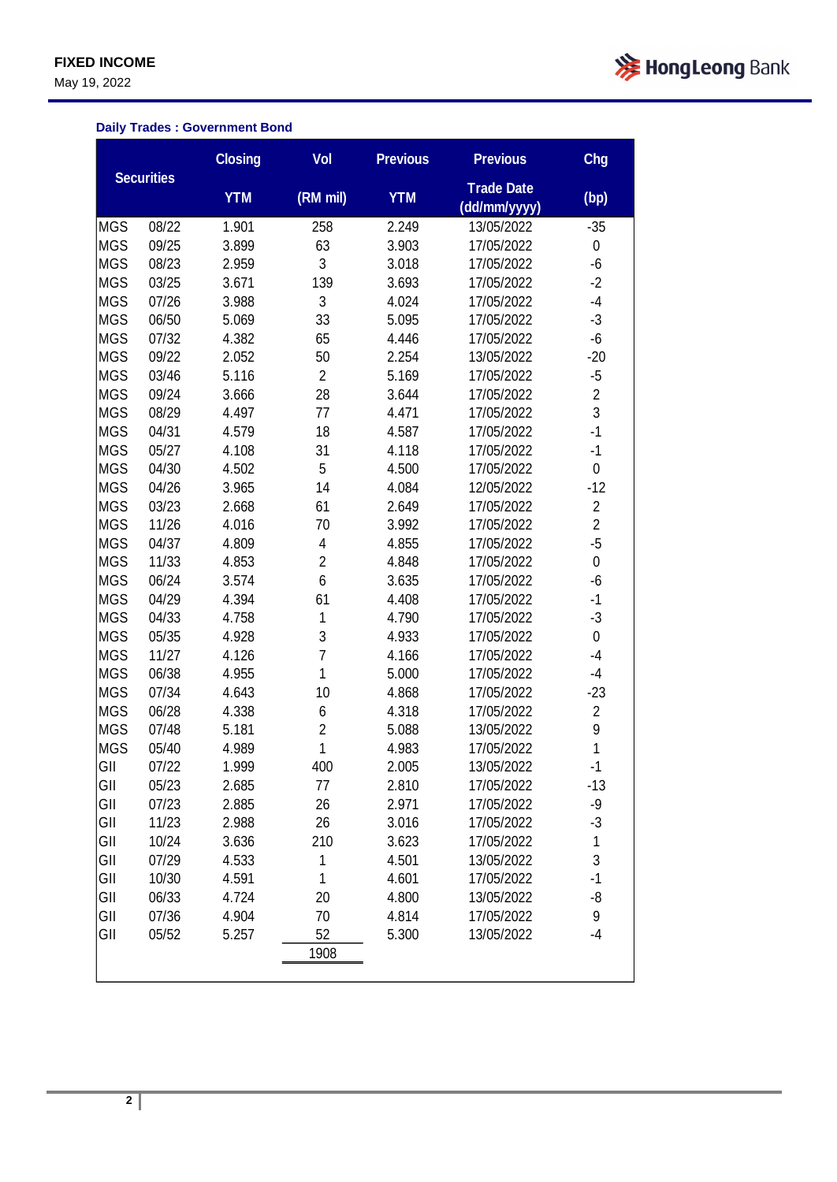**FIXED INCOME**

May 19, 2022



## **Daily Trades : Government Bond**

|            |                   | <b>Closing</b> | Vol            | <b>Previous</b> | <b>Previous</b>                   | <b>Chg</b>     |
|------------|-------------------|----------------|----------------|-----------------|-----------------------------------|----------------|
|            | <b>Securities</b> | <b>YTM</b>     | (RM mil)       | <b>YTM</b>      | <b>Trade Date</b><br>(dd/mm/yyyy) | (bp)           |
| <b>MGS</b> | 08/22             | 1.901          | 258            | 2.249           | 13/05/2022                        | $-35$          |
| <b>MGS</b> | 09/25             | 3.899          | 63             | 3.903           | 17/05/2022                        | 0              |
| <b>MGS</b> | 08/23             | 2.959          | 3              | 3.018           | 17/05/2022                        | -6             |
| <b>MGS</b> | 03/25             | 3.671          | 139            | 3.693           | 17/05/2022                        | $-2$           |
| <b>MGS</b> | 07/26             | 3.988          | 3              | 4.024           | 17/05/2022                        | $-4$           |
| <b>MGS</b> | 06/50             | 5.069          | 33             | 5.095           | 17/05/2022                        | $-3$           |
| <b>MGS</b> | 07/32             | 4.382          | 65             | 4.446           | 17/05/2022                        | -6             |
| <b>MGS</b> | 09/22             | 2.052          | 50             | 2.254           | 13/05/2022                        | $-20$          |
| <b>MGS</b> | 03/46             | 5.116          | $\overline{c}$ | 5.169           | 17/05/2022                        | $-5$           |
| <b>MGS</b> | 09/24             | 3.666          | 28             | 3.644           | 17/05/2022                        | $\overline{2}$ |
| <b>MGS</b> | 08/29             | 4.497          | 77             | 4.471           | 17/05/2022                        | 3              |
| <b>MGS</b> | 04/31             | 4.579          | 18             | 4.587           | 17/05/2022                        | $-1$           |
| <b>MGS</b> | 05/27             | 4.108          | 31             | 4.118           | 17/05/2022                        | $-1$           |
| <b>MGS</b> | 04/30             | 4.502          | 5              | 4.500           | 17/05/2022                        | $\mathbf 0$    |
| <b>MGS</b> | 04/26             | 3.965          | 14             | 4.084           | 12/05/2022                        | $-12$          |
| <b>MGS</b> | 03/23             | 2.668          | 61             | 2.649           | 17/05/2022                        | $\overline{2}$ |
| <b>MGS</b> | 11/26             | 4.016          | 70             | 3.992           | 17/05/2022                        | $\overline{2}$ |
| <b>MGS</b> | 04/37             | 4.809          | 4              | 4.855           | 17/05/2022                        | $-5$           |
| <b>MGS</b> | 11/33             | 4.853          | $\overline{c}$ | 4.848           | 17/05/2022                        | $\pmb{0}$      |
| <b>MGS</b> | 06/24             | 3.574          | 6              | 3.635           | 17/05/2022                        | $-6$           |
| <b>MGS</b> | 04/29             | 4.394          | 61             | 4.408           | 17/05/2022                        | $-1$           |
| <b>MGS</b> | 04/33             | 4.758          | 1              | 4.790           | 17/05/2022                        | $-3$           |
| <b>MGS</b> | 05/35             | 4.928          | 3              | 4.933           | 17/05/2022                        | $\pmb{0}$      |
| <b>MGS</b> | 11/27             | 4.126          | $\overline{7}$ | 4.166           | 17/05/2022                        | $-4$           |
| <b>MGS</b> | 06/38             | 4.955          | 1              | 5.000           | 17/05/2022                        | $-4$           |
| <b>MGS</b> | 07/34             | 4.643          | 10             | 4.868           | 17/05/2022                        | $-23$          |
| <b>MGS</b> | 06/28             | 4.338          | 6              | 4.318           | 17/05/2022                        | $\overline{c}$ |
| <b>MGS</b> | 07/48             | 5.181          | $\overline{c}$ | 5.088           | 13/05/2022                        | 9              |
| <b>MGS</b> | 05/40             | 4.989          | 1              | 4.983           | 17/05/2022                        | 1              |
| GII        | 07/22             | 1.999          | 400            | 2.005           | 13/05/2022                        | -1             |
| GII        | 05/23             | 2.685          | 77             | 2.810           | 17/05/2022                        | -13            |
| GII        | 07/23             | 2.885          | 26             | 2.971           | 17/05/2022                        | -9             |
| GII        | 11/23             | 2.988          | 26             | 3.016           | 17/05/2022                        | $-3$           |
| GII        | 10/24             | 3.636          | 210            | 3.623           | 17/05/2022                        | $\mathbf 1$    |
| GII        | 07/29             | 4.533          | 1              | 4.501           | 13/05/2022                        | 3              |
| GII        | 10/30             | 4.591          | 1              | 4.601           | 17/05/2022                        | $-1$           |
| GII        | 06/33             | 4.724          | 20             | 4.800           | 13/05/2022                        | -8             |
| GII        | 07/36             | 4.904          | 70             | 4.814           | 17/05/2022                        | 9              |
| GII        | 05/52             | 5.257          | 52             | 5.300           | 13/05/2022                        | $-4$           |
|            |                   |                | 1908           |                 |                                   |                |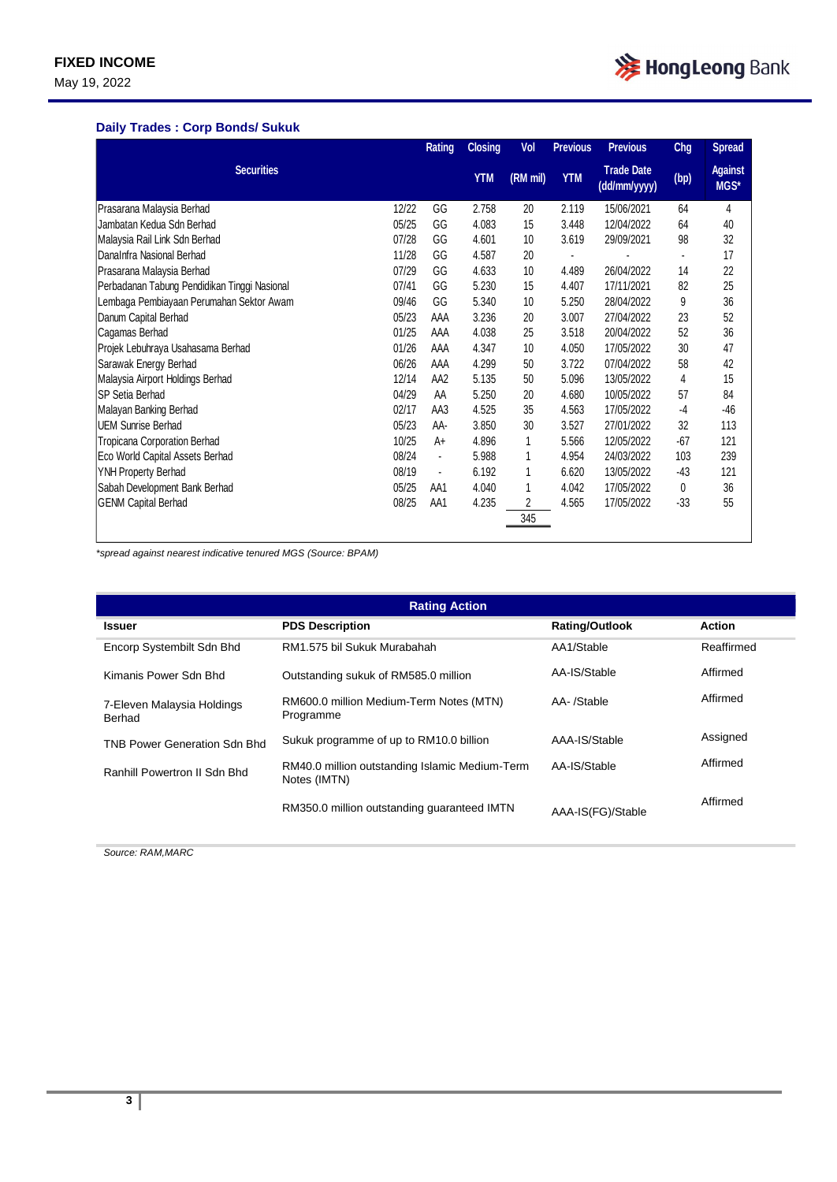May 19, 2022

### **Daily Trades : Corp Bonds/ Sukuk**

|                                              |       | Rating                   | <b>Closing</b> | Vol      | <b>Previous</b> | <b>Previous</b>                   | <b>Chg</b>     | <b>Spread</b>          |
|----------------------------------------------|-------|--------------------------|----------------|----------|-----------------|-----------------------------------|----------------|------------------------|
| <b>Securities</b>                            |       |                          | <b>YTM</b>     | (RM mil) | <b>YTM</b>      | <b>Trade Date</b><br>(dd/mm/yyyy) | (bp)           | <b>Against</b><br>MGS* |
| Prasarana Malaysia Berhad                    | 12/22 | GG                       | 2.758          | 20       | 2.119           | 15/06/2021                        | 64             | 4                      |
| Jambatan Kedua Sdn Berhad                    | 05/25 | GG                       | 4.083          | 15       | 3.448           | 12/04/2022                        | 64             | 40                     |
| Malaysia Rail Link Sdn Berhad                | 07/28 | GG                       | 4.601          | 10       | 3.619           | 29/09/2021                        | 98             | 32                     |
| DanaInfra Nasional Berhad                    | 11/28 | GG                       | 4.587          | 20       |                 |                                   | $\blacksquare$ | 17                     |
| Prasarana Malaysia Berhad                    | 07/29 | GG                       | 4.633          | 10       | 4.489           | 26/04/2022                        | 14             | 22                     |
| Perbadanan Tabung Pendidikan Tinggi Nasional | 07/41 | GG                       | 5.230          | 15       | 4.407           | 17/11/2021                        | 82             | 25                     |
| Lembaga Pembiayaan Perumahan Sektor Awam     | 09/46 | GG                       | 5.340          | 10       | 5.250           | 28/04/2022                        | 9              | 36                     |
| Danum Capital Berhad                         | 05/23 | AAA                      | 3.236          | 20       | 3.007           | 27/04/2022                        | 23             | 52                     |
| Cagamas Berhad                               | 01/25 | AAA                      | 4.038          | 25       | 3.518           | 20/04/2022                        | 52             | 36                     |
| Projek Lebuhraya Usahasama Berhad            | 01/26 | AAA                      | 4.347          | 10       | 4.050           | 17/05/2022                        | 30             | 47                     |
| Sarawak Energy Berhad                        | 06/26 | AAA                      | 4.299          | 50       | 3.722           | 07/04/2022                        | 58             | 42                     |
| Malaysia Airport Holdings Berhad             | 12/14 | AA <sub>2</sub>          | 5.135          | 50       | 5.096           | 13/05/2022                        | 4              | 15                     |
| <b>SP Setia Berhad</b>                       | 04/29 | AA                       | 5.250          | 20       | 4.680           | 10/05/2022                        | 57             | 84                     |
| Malayan Banking Berhad                       | 02/17 | AA3                      | 4.525          | 35       | 4.563           | 17/05/2022                        | $-4$           | $-46$                  |
| <b>UEM Sunrise Berhad</b>                    | 05/23 | AA-                      | 3.850          | 30       | 3.527           | 27/01/2022                        | 32             | 113                    |
| Tropicana Corporation Berhad                 | 10/25 | A+                       | 4.896          | 1        | 5.566           | 12/05/2022                        | $-67$          | 121                    |
| Eco World Capital Assets Berhad              | 08/24 | $\blacksquare$           | 5.988          | 1        | 4.954           | 24/03/2022                        | 103            | 239                    |
| YNH Property Berhad                          | 08/19 | $\overline{\phantom{a}}$ | 6.192          | 1        | 6.620           | 13/05/2022                        | $-43$          | 121                    |
| Sabah Development Bank Berhad                | 05/25 | AA1                      | 4.040          |          | 4.042           | 17/05/2022                        | 0              | 36                     |
| <b>GENM Capital Berhad</b>                   | 08/25 | AA1                      | 4.235          | 2        | 4.565           | 17/05/2022                        | $-33$          | 55                     |
|                                              |       |                          |                | 345      |                 |                                   |                |                        |

*\*spread against nearest indicative tenured MGS (Source: BPAM)*

| <b>Rating Action</b>                 |                                                                |                       |               |  |  |  |
|--------------------------------------|----------------------------------------------------------------|-----------------------|---------------|--|--|--|
| <b>Issuer</b>                        | <b>PDS Description</b>                                         | <b>Rating/Outlook</b> | <b>Action</b> |  |  |  |
| Encorp Systembilt Sdn Bhd            | RM1.575 bil Sukuk Murabahah                                    | AA1/Stable            | Reaffirmed    |  |  |  |
| Kimanis Power Sdn Bhd                | Outstanding sukuk of RM585.0 million                           | AA-IS/Stable          | Affirmed      |  |  |  |
| 7-Eleven Malaysia Holdings<br>Berhad | RM600.0 million Medium-Term Notes (MTN)<br>Programme           | AA-/Stable            | Affirmed      |  |  |  |
| <b>TNB Power Generation Sdn Bhd</b>  | Sukuk programme of up to RM10.0 billion                        | AAA-IS/Stable         | Assigned      |  |  |  |
| Ranhill Powertron II Sdn Bhd         | RM40.0 million outstanding Islamic Medium-Term<br>Notes (IMTN) | AA-IS/Stable          | Affirmed      |  |  |  |
|                                      | RM350.0 million outstanding quaranteed IMTN                    | AAA-IS(FG)/Stable     | Affirmed      |  |  |  |

*Source: RAM,MARC*